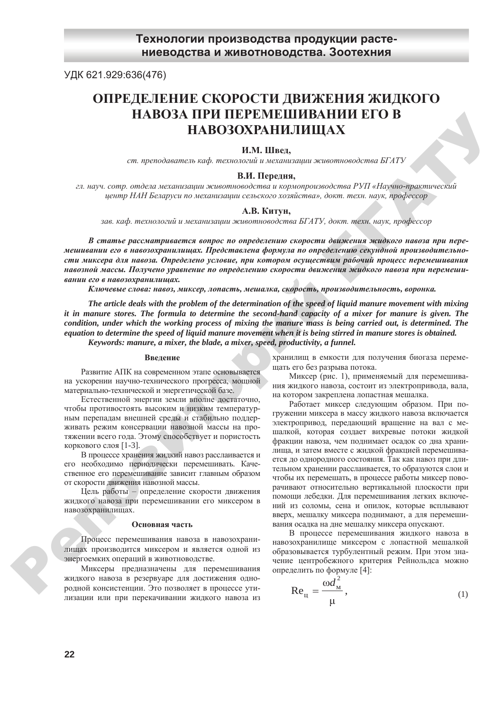УДК 621.929:636(476)

# **<u>ОПРЕДЕЛЕНИЕ СКОРОСТИ ДВИЖЕНИЯ ЖИДКОГО</u> НАВОЗА ПРИ ПЕРЕМЕШИВАНИИ ЕГО В** НАВОЗОХРАНИЛИЩАХ

### **И.М.** Швед,

ст. преподаватель каф. технологий и механизации животноводства БГАТУ

## **ȼ.ɂ. ɉɟɪɟɞɧɹ,**

 $2n.$  *науч. сотр. отдела механизации животноводства и кормопроизводства РУП «Научно-практический*  $u$ ентр НАН Беларуси по механизации сельского хозяйства», докт. техн. наук, профессор

#### **А.В. Китун,**

зав. каф. технологий и механизации животноводства БГАТУ, докт. техн. наук, профессор

В статье рассматривается вопрос по определению скорости движения жидкого навоза при перемешивании его в навозохранилищах. Представлена формула по определению секундной производительности миксера для навоза. Определено условие, при котором осуществим рабочий процесс перемешивания *ɧɚɜɨɡɧɨɣ ɦɚɫɫɵ. ɉɨɥɭɱɟɧɨ ɭɪɚɜɧɟɧɢɟ ɩɨ ɨɩɪɟɞɟɥɟɧɢɸ ɫɤɨɪɨɫɬɢ ɞɜɢɠɟɧɢɹ ɠɢɞɤɨɝɨ ɧɚɜɨɡɚ ɩɪɢ ɩɟɪɟɦɟɲɢɜɚɧɢɢ ɟɝɨ ɜ ɧɚɜɨɡɨɯɪɚɧɢɥɢɳɚɯ.* 

 $K\pi$ ючевые слова: навоз, миксер, лопасть, мешалка, скорость, производительность, воронка.

*The article deals with the problem of the determination of the speed of liquid manure movement with mixing it in manure stores. The formula to determine the second-hand capacity of a mixer for manure is given. The condition, under which the working process of mixing the manure mass is being carried out, is determined. The equation to determine the speed of liquid manure movement when it is being stirred in manure stores is obtained. Keywords: manure, a mixer, the blade, a mixer, speed, productivity, a funnel.* 

#### **Ввеление**

Развитие АПК на современном этапе основывается на ускорении научно-технического прогресса, мощной материально-технической и энергетической базе.

Естественной энергии земли вполне достаточно, чтобы противостоять высоким и низким температурным перепадам внешней среды и стабильно поддерживать режим консервации навозной массы на протяжении всего года. Этому способствует и пористость коркового слоя  $[1-3]$ .

В процессе хранения жидкий навоз расслаивается и его необходимо периодически перемешивать. Качественное его перемешивание зависит главным образом от скорости движения навозной массы.

Цель работы – определение скорости движения жидкого навоза при перемешивании его миксером в навозохранилищах.

#### Основная часть

Процесс перемешивания навоза в навозохранилищах производится миксером и является одной из энергоемких операций в животноводстве.

Миксеры предназначены для перемешивания жидкого навоза в резервуаре для достижения однородной консистенции. Это позволяет в процессе утилизации или при перекачивании жидкого навоза из

хранилищ в емкости для получения биогаза перемещать его без разрыва потока.

Миксер (рис. 1), применяемый для перемешивания жидкого навоза, состоит из электропривода, вала, на котором закреплена лопастная мешалка.

Работает миксер следующим образом. При погружении миксера в массу жидкого навоза включается электропривод, передающий вращение на вал с мешалкой, которая создает вихревые потоки жидкой фракции навоза, чем поднимает осадок со дна хранилища, и затем вместе с жидкой фракцией перемешивается до однородного состояния. Так как навоз при длительном хранении расслаивается, то образуются слои и чтобы их перемешать, в процессе работы миксер поворачивают относительно вертикальной плоскости при помощи лебедки. Для перемешивания легких включений из соломы, сена и опилок, которые всплывают вверх, мешалку миксера поднимают, а для перемешивания осадка на дне мешалку миксера опускают. **РА НО ЗА ПРИ ПЕРЕ ИМЕНИВАНИЕ РА МЕНИВАНИЕ В ЛЕНИЕ В АНИЕ В АНИЕ В АНИЕ В АНИЕ В АНИЕ В АНИЕ В АНИЕ В АНИЕ В АНИЕ В АНИЕ В АНИЕ В АНИЕ В АНИЕ В АНИЕ В АНИЕ В АНИЕ В АНИЕ В АНИЕ В АНИЕ В АНИЕ В АНИЕ В АНИЕ В АНИЕ В АНИЕ В** 

В процессе перемешивания жидкого навоза в навозохранилище миксером с лопастной мешалкой образовывается турбулентный режим. При этом значение центробежного критерия Рейнольдса можно определить по формуле [4]:

$$
\text{Re}_{\text{H}} = \frac{\omega d_{\text{M}}^2}{\mu},\tag{1}
$$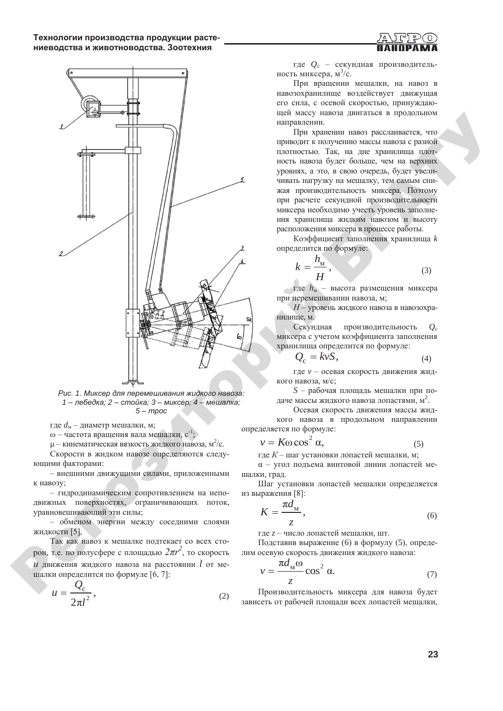



Рис. 1. Миксер для перемешивания жидкого навоза: 1 – лебедка; 2 – стойка; 3 – миксер; 4 – мешалка;  $5 - mpoc$ 

где  $d_{\text{M}}$  – диаметр мешалки, м;

ω – частота вращения вала мешалки,  $c^{-1}$ ;

 $\mu$  – кинематическая вязкость жидкого навоза, м<sup>2</sup>/с. Скорости в жидком навозе определяются следу-

ющими факторами: – внешними движущими силами, приложенными

к навозу;

– гидродинамическим сопротивлением на неподвижных поверхностях, ограничивающих поток, уравновешивающий эти силы;

- обменом энергии между соседними слоями жидкости [5].

Так как навоз к мешалке подтекает со всех сто- $_{\rm{poH,~T.e.~no~moyc\varphi epe~c~nnouqajb}$ ю  $2\pi r^2$ , то скорость  $\mu$  движения жилкого навоза на расстоянии  $l$  от мешалки определится по формуле [6, 7]:

$$
u = \frac{Q_c}{2\pi l^2},\tag{2}
$$

где  $Q_c$  – секундная производительность миксера,  $\frac{a^3}{c}$ .

При вращении мешалки, на навоз в навозохранилище воздействует движущая его сила, с осевой скоростью, принуждающей массу навоза двигаться в продольном направлении.

При хранении навоз расслаивается, что приводит к получению массы навоза с разной плотностью. Так, на дне хранилища плотность навоза будет больше, чем на верхних уровнях, а это, в свою очередь, будет увеличивать нагрузку на мешалку, тем самым снижая производительность миксера. Поэтому при расчете секундной производительности миксера необходимо учесть уровень заполнения хранилища жидким навозом и высоту расположения миксера в процессе работы.

Коэффициент заполнения хранилища *k* определится по формуле:

$$
k = \frac{h_{\rm M}}{H},\tag{3}
$$

 $\sim$  где  $h_{\text{M}}$  – высота размещения миксера при перемешивании навоза, м;

*H* – уровень жидкого навоза в навозохранилище, м.

Секундная производительность  $Q_c$ миксера с учетом коэффициента заполнения хранилища определится по формуле:

$$
Q_{\rm c} = k v S, \tag{4}
$$

где *v* – осевая скорость движения жидкого навоза, м/с;

*S* – рабочая площадь мешалки при подаче массы жидкого навоза лопастями, м<sup>2</sup>.

Осевая скорость движения массы жидкого навоза в продольном направлении определяется по формуле:

$$
v = K\omega \cos^2 \alpha, \tag{5}
$$

где  $K$  – шаг установки лопастей мешалки, м; α – угол подъема винтовой линии лопастей ме-

шалки, град. Шаг установки лопастей мешалки определяется из выражения [8]:

$$
K = \frac{\pi d_{\rm M}}{z},\tag{6}
$$

где *z* – число лопастей мешалки, шт.

Подставив выражение (6) в формулу (5), определим осевую скорость движения жидкого навоза:

$$
v = \frac{\pi d_{\mathcal{M}} \omega}{z} \cos^2 \alpha.
$$
 (7)

Производительность миксера для навоза будет зависеть от рабочей площади всех лопастей мешалки,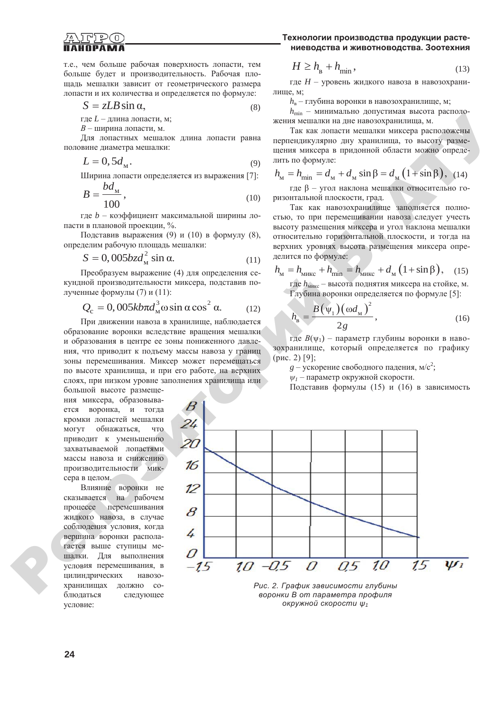

т.е., чем больше рабочая поверхность лопасти, тем больше будет и производительность. Рабочая площадь мешалки зависит от геометрического размера лопасти и их количества и определяется по формуле:

$$
S = zLB \sin \alpha, \tag{8}
$$

где *L* – длина лопасти, м;

 $B$  – ширина лопасти, м.

Для лопастных мешалок длина лопасти равна половине диаметра мешалки:

$$
L = 0, 5d_{\mathcal{M}}.\tag{9}
$$

Ширина лопасти определяется из выражения [7]: *bd*

$$
B = \frac{ba_{\rm M}}{100},\tag{10}
$$

где b – коэффициент максимальной ширины лопасти в плановой проекции, %.

Подставив выражения (9) и (10) в формулу (8), определим рабочую площадь мешалки:

$$
S = 0,005bz d_{\rm M}^2 \sin \alpha. \tag{11}
$$

Преобразуем выражение (4) для определения секундной производительности миксера, подставив полученные формулы (7) и (11):

$$
Q_{\rm c} = 0,005k b \pi d_{\rm M}^{3} \omega \sin \alpha \cos^{2} \alpha. \qquad (12)
$$

При движении навоза в хранилище, наблюдается образование воронки вследствие вращения мешалки и образования в центре ее зоны пониженного лавления, что приводит к подъему массы навоза у границ зоны перемешивания. Миксер может перемещаться по высоте хранилища, и при его работе, на верхних слоях, при низком уровне заполнения хранилища или

большой высоте размещения миксера, образовывается воронка, и тогда кромки лопастей мешалки могут обнажаться, что приводит к уменьшению захватываемой лопастями массы навоза и снижению производительности миксера в целом.

Влияние воронки не сказывается на рабочем процессе перемешивания жидкого навоза, в случае соблюдения условия, когда вершина воронки располагается выше ступицы мешалки. Для выполнения условия перемешивания, в цилиндрических навозохранилищах должно соблюдаться следующее условие:  $\mathbf{Q}^{\prime}$ 

# Технологии производства продукции расте-**НИЕВОДСТВА И ЖИВОТНОВОДСТВА. ЗООТЕХНИЯ**

$$
H \ge h_{\rm B} + h_{\rm min},\tag{13}
$$

где *H* – уровень жидкого навоза в навозохранилище, м;

 $h_{\rm a}$  – глубина воронки в навозохранилище, м;

 $h_{\text{min}}$  – минимально допустимая высота расположения мешалки на дне навозохранилища, м.

Так как лопасти мешалки миксера расположены перпендикулярно дну хранилища, то высоту размещения миксера в придонной области можно определить по формуле:

$$
h_{\rm M} = h_{\rm min} = d_{\rm M} + d_{\rm M} \sin \beta = d_{\rm M} (1 + \sin \beta), \quad (14)
$$

где  $\beta$  – угол наклона мешалки относительно горизонтальной плоскости, град.

Так как навозохранилище заполняется полностью, то при перемешивании навоза следует учесть высоту размещения миксера и угол наклона мешалки относительно горизонтальной плоскости, и тогда на верхних уровнях высота размещения миксера определится по формуле:

$$
h_{\rm M} = h_{\rm MHEC} + h_{\rm min} = h_{\rm MHEC} + d_{\rm M} \left( 1 + \sin \beta \right), \quad (15)
$$

где  $h_{\text{MHEC}}$  – высота поднятия миксера на стойке, м. Глубина воронки определяется по формуле [5]:

$$
h_{\rm B} = \frac{B(\psi_1)(\omega d_{\rm M})^2}{2g},\tag{16}
$$

 $\bar{\Gamma}$ де  $B(\Psi_1)$  – параметр глубины воронки в навозохранилище, который определяется по графику  $(pnc. 2)$  [9];

 $g$  – ускорение свободного падения, м/с<sup>2</sup>;

 $\psi$ <sup>1</sup> – параметр окружной скорости.

Подставив формулы (15) и (16) в зависимость



Рис. 2. График зависимости глубины  $\epsilon$ оронки В от параметра профиля  $\alpha$ кружной скорости  $\psi_1$